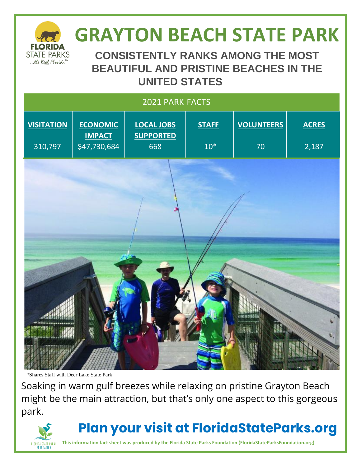

# **GRAYTON BEACH STATE PARK**

**CONSISTENTLY RANKS AMONG THE MOST BEAUTIFUL AND PRISTINE BEACHES IN THE UNITED STATES**

| 2021 PARK FACTS   |                                  |                                       |              |                   |              |
|-------------------|----------------------------------|---------------------------------------|--------------|-------------------|--------------|
| <b>VISITATION</b> | <b>ECONOMIC</b><br><b>IMPACT</b> | <b>LOCAL JOBS</b><br><b>SUPPORTED</b> | <b>STAFF</b> | <b>VOLUNTEERS</b> | <b>ACRES</b> |
| 310,797           | \$47,730,684                     | 668                                   | $10*$        | 70                | 2,187        |
|                   |                                  |                                       |              |                   |              |
|                   | 哅<br>囇                           |                                       |              | 小河湖               |              |

\*Shares Staff with Deer Lake State Park

Soaking in warm gulf breezes while relaxing on pristine Grayton Beach might be the main attraction, but that's only one aspect to this gorgeous park.



### **Plan your visit at FloridaStateParks.org**

**This information fact sheet was produced by the Florida State Parks Foundation (FloridaStateParksFoundation.org)**